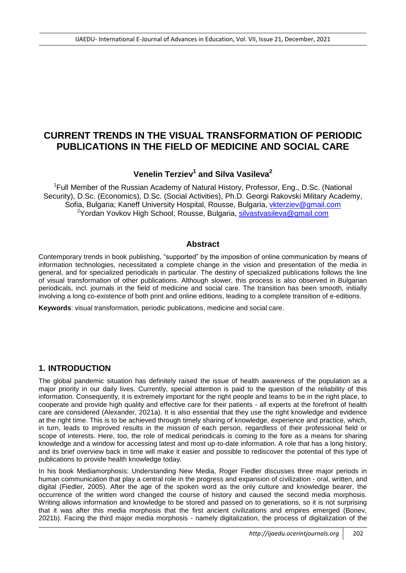# **CURRENT TRENDS IN THE VISUAL TRANSFORMATION OF PERIODIC PUBLICATIONS IN THE FIELD OF MEDICINE AND SOCIAL CARE**

# **Venelin Terziev<sup>1</sup> and Silva Vasileva<sup>2</sup>**

<sup>1</sup>Full Member of the Russian Academy of Natural History, Professor, Eng., D.Sc. (National Security), D.Sc. (Economics), D.Sc. (Social Activities), Ph.D. Georgi Rakovski Military Academy, Sofia, Bulgaria; Kaneff University Hospital, Rousse, Bulgaria, [vkterziev@gmail.com](mailto:vkterziev@gmail.com) <sup>2</sup>Yordan Yovkov High School, Rousse, Bulgaria, [silvastvasileva@gmail.com](mailto:silvastvasileva@gmail.com)

#### **Abstract**

Contemporary trends in book publishing, "supported" by the imposition of online communication by means of information technologies, necessitated a complete change in the vision and presentation of the media in general, and for specialized periodicals in particular. The destiny of specialized publications follows the line of visual transformation of other publications. Although slower, this process is also observed in Bulgarian periodicals, incl. journals in the field of medicine and social care. The transition has been smooth, initially involving a long co-existence of both print and online editions, leading to a complete transition of e-editions.

**Keywords**: visual transformation, periodic publications, medicine and social care.

# **1. INTRODUCTION**

The global pandemic situation has definitely raised the issue of health awareness of the population as a major priority in our daily lives. Currently, special attention is paid to the question of the reliability of this information. Consequently, it is extremely important for the right people and teams to be in the right place, to cooperate and provide high quality and effective care for their patients - all experts at the forefront of health care are considered (Alexander, 2021a). It is also essential that they use the right knowledge and evidence at the right time. This is to be achieved through timely sharing of knowledge, experience and practice, which, in turn, leads to improved results in the mission of each person, regardless of their professional field or scope of interests. Here, too, the role of medical periodicals is coming to the fore as a means for sharing knowledge and a window for accessing latest and most up-to-date information. A role that has a long history, and its brief overview back in time will make it easier and possible to rediscover the potential of this type of publications to provide health knowledge today.

In his book Mediamorphosis: Understanding New Media, Roger Fiedler discusses three major periods in human communication that play a central role in the progress and expansion of civilization - oral, written, and digital (Fiedler, 2005). After the age of the spoken word as the only culture and knowledge bearer, the occurrence of the written word changed the course of history and caused the second media morphosis. Writing allows information and knowledge to be stored and passed on to generations, so it is not surprising that it was after this media morphosis that the first ancient civilizations and empires emerged (Bonev, 2021b). Facing the third major media morphosis - namely digitalization, the process of digitalization of the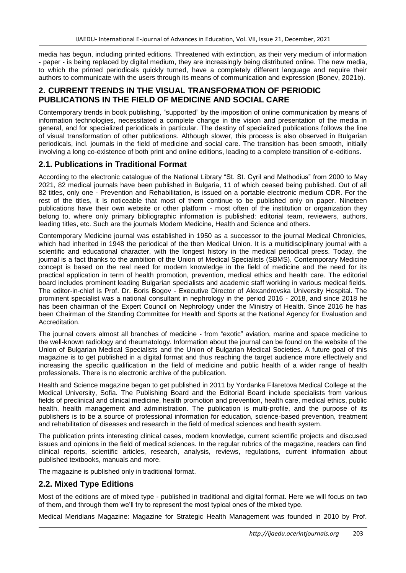media has begun, including printed editions. Threatened with extinction, as their very medium of information - paper - is being replaced by digital medium, they are increasingly being distributed online. The new media, to which the printed periodicals quickly turned, have a completely different language and require their authors to communicate with the users through its means of communication and expression (Bonev, 2021b).

# **2. CURRENT TRENDS IN THE VISUAL TRANSFORMATION OF PERIODIC PUBLICATIONS IN THE FIELD OF MEDICINE AND SOCIAL CARE**

Contemporary trends in book publishing, "supported" by the imposition of online communication by means of information technologies, necessitated a complete change in the vision and presentation of the media in general, and for specialized periodicals in particular. The destiny of specialized publications follows the line of visual transformation of other publications. Although slower, this process is also observed in Bulgarian periodicals, incl. journals in the field of medicine and social care. The transition has been smooth, initially involving a long co-existence of both print and online editions, leading to a complete transition of e-editions.

#### **2.1. Publications in Traditional Format**

According to the electronic catalogue of the National Library "St. St. Cyril and Methodius" from 2000 to May 2021, 82 medical journals have been published in Bulgaria, 11 of which ceased being published. Out of all 82 titles, only one - Prevention and Rehabilitation, is issued on a portable electronic medium CDR. For the rest of the titles, it is noticeable that most of them continue to be published only on paper. Nineteen publications have their own website or other platform - most often of the institution or organization they belong to, where only primary bibliographic information is published: editorial team, reviewers, authors, leading titles, etc. Such are the journals Modern Medicine, Health and Science and others.

Contemporary Medicine journal was established in 1950 as a successor to the journal Medical Chronicles, which had inherited in 1948 the periodical of the then Medical Union. It is a multidisciplinary journal with a scientific and educational character, with the longest history in the medical periodical press. Today, the journal is a fact thanks to the ambition of the Union of Medical Specialists (SBMS). Contemporary Medicine concept is based on the real need for modern knowledge in the field of medicine and the need for its practical application in term of health promotion, prevention, medical ethics and health care. The editorial board includes prominent leading Bulgarian specialists and academic staff working in various medical fields. The editor-in-chief is Prof. Dr. Boris Bogov - Executive Director of Alexandrovska University Hospital. The prominent specialist was a national consultant in nephrology in the period 2016 - 2018, and since 2018 he has been chairman of the Expert Council on Nephrology under the Ministry of Health. Since 2016 he has been Chairman of the Standing Committee for Health and Sports at the National Agency for Evaluation and Accreditation.

The journal covers almost all branches of medicine - from "exotic" aviation, marine and space medicine to the well-known radiology and rheumatology. Information about the journal can be found on the website of the Union of Bulgarian Medical Specialists and the Union of Bulgarian Medical Societies. A future goal of this magazine is to get published in a digital format and thus reaching the target audience more effectively and increasing the specific qualification in the field of medicine and public health of a wider range of health professionals. There is no electronic archive of the publication.

Health and Science magazine began to get published in 2011 by Yordanka Filaretova Medical College at the Medical University, Sofia. The Publishing Board and the Editorial Board include specialists from various fields of preclinical and clinical medicine, health promotion and prevention, health care, medical ethics, public health, health management and administration. The publication is multi-profile, and the purpose of its publishers is to be a source of professional information for education, science-based prevention, treatment and rehabilitation of diseases and research in the field of medical sciences and health system.

The publication prints interesting clinical cases, modern knowledge, current scientific projects and discused issues and opinions in the field of medical sciences. In the regular rubrics of the magazine, readers can find clinical reports, scientific articles, research, analysis, reviews, regulations, current information about published textbooks, manuals and more.

The magazine is published only in traditional format.

# **2.2. Mixed Type Editions**

Most of the editions are of mixed type - published in traditional and digital format. Here we will focus on two of them, and through them we'll try to represent the most typical ones of the mixed type.

Medical Meridians Magazine: Magazine for Strategic Health Management was founded in 2010 by Prof.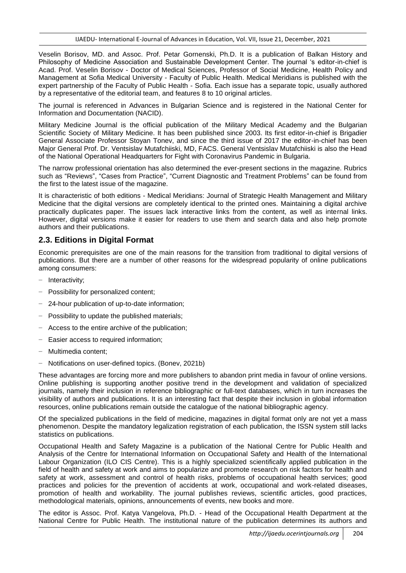Veselin Borisov, MD. and Assoc. Prof. Petar Gornenski, Ph.D. It is a publication of Balkan History and Philosophy of Medicine Association and Sustainable Development Center. The journal 's editor-in-chief is Acad. Prof. Veselin Borisov - Doctor of Medical Sciences, Professor of Social Medicine, Health Policy and Management at Sofia Medical University - Faculty of Public Health. Medical Meridians is published with the expert partnership of the Faculty of Public Health - Sofia. Each issue has a separate topic, usually authored by a representative of the editorial team, and features 8 to 10 original articles.

The journal is referenced in Advances in Bulgarian Science and is registered in the National Center for Information and Documentation (NACID).

Military Medicine Journal is the official publication of the Military Medical Academy and the Bulgarian Scientific Society of Military Medicine. It has been published since 2003. Its first editor-in-chief is Brigadier General Associate Professor Stoyan Tonev, and since the third issue of 2017 the editor-in-chief has been Major General Prof. Dr. Ventsislav Mutafchiiski, MD, FACS. General Ventsislav Mutafchiiski is also the Head of the National Operational Headquarters for Fight with Coronavirus Pandemic in Bulgaria.

The narrow professional orientation has also determined the ever-present sections in the magazine. Rubrics such as "Reviews", "Cases from Practice", "Current Diagnostic and Treatment Problems" can be found from the first to the latest issue of the magazine.

It is characteristic of both editions - Medical Meridians: Journal of Strategic Health Management and Military Medicine that the digital versions are completely identical to the printed ones. Maintaining a digital archive practically duplicates paper. The issues lack interactive links from the content, as well as internal links. However, digital versions make it easier for readers to use them and search data and also help promote authors and their publications.

#### **2.3. Editions in Digital Format**

Economic prerequisites are one of the main reasons for the transition from traditional to digital versions of publications. But there are a number of other reasons for the widespread popularity of online publications among consumers:

- − Interactivity;
- − Possibility for personalized content;
- − 24-hour publication of up-to-date information;
- − Possibility to update the published materials;
- Access to the entire archive of the publication;
- − Easier access to required information;
- − Multimedia content;
- − Notifications on user-defined topics. (Bonev, 2021b)

These advantages are forcing more and more publishers to abandon print media in favour of online versions. Online publishing is supporting another positive trend in the development and validation of specialized journals, namely their inclusion in reference bibliographic or full-text databases, which in turn increases the visibility of authors and publications. It is an interesting fact that despite their inclusion in global information resources, online publications remain outside the catalogue of the national bibliographic agency.

Of the specialized publications in the field of medicine, magazines in digital format only are not yet a mass phenomenon. Despite the mandatory legalization registration of each publication, the ISSN system still lacks statistics on publications.

Occupational Health and Safety Magazine is a publication of the National Centre for Public Health and Analysis of the Centre for International Information on Occupational Safety and Health of the International Labour Organization (ILO CIS Centre). This is a highly specialized scientifically applied publication in the field of health and safety at work and aims to popularize and promote research on risk factors for health and safety at work, assessment and control of health risks, problems of occupational health services; good practices and policies for the prevention of accidents at work, occupational and work-related diseases, promotion of health and workability. The journal publishes reviews, scientific articles, good practices, methodological materials, opinions, announcements of events, new books and more.

The editor is Assoc. Prof. Katya Vangelova, Ph.D. - Head of the Occupational Health Department at the National Centre for Public Health. The institutional nature of the publication determines its authors and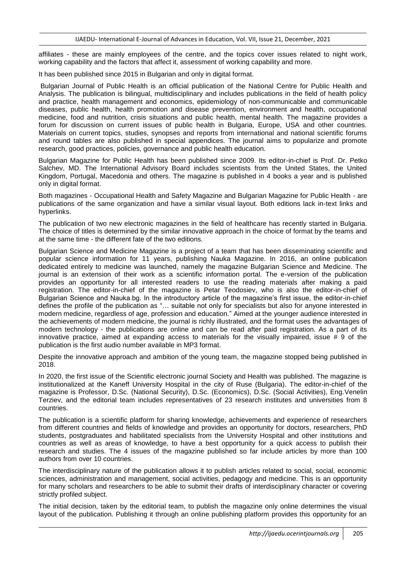affiliates - these are mainly employees of the centre, and the topics cover issues related to night work, working capability and the factors that affect it, assessment of working capability and more.

It has been published since 2015 in Bulgarian and only in digital format.

Bulgarian Journal of Public Health is an official publication of the National Centre for Public Health and Analysis. The publication is bilingual, multidisciplinary and includes publications in the field of health policy and practice, health management and economics, epidemiology of non-communicable and communicable diseases, public health, health promotion and disease prevention, environment and health, occupational medicine, food and nutrition, crisis situations and public health, mental health. The magazine provides a forum for discussion on current issues of public health in Bulgaria, Europe, USA and other countries. Materials on current topics, studies, synopses and reports from international and national scientific forums and round tables are also published in special appendices. The journal aims to popularize and promote research, good practices, policies, governance and public health education.

Bulgarian Magazine for Public Health has been published since 2009. Its editor-in-chief is Prof. Dr. Petko Salchev, MD. The International Advisory Board includes scientists from the United States, the United Kingdom, Portugal, Macedonia and others. The magazine is published in 4 books a year and is published only in digital format.

Both magazines - Occupational Health and Safety Magazine and Bulgarian Magazine for Public Health - are publications of the same organization and have a similar visual layout. Both editions lack in-text links and hyperlinks.

The publication of two new electronic magazines in the field of healthcare has recently started in Bulgaria. The choice of titles is determined by the similar innovative approach in the choice of format by the teams and at the same time - the different fate of the two editions.

Bulgarian Science and Medicine Magazine is a project of a team that has been disseminating scientific and popular science information for 11 years, publishing Nauka Magazine. In 2016, an online publication dedicated entirely to medicine was launched, namely the magazine Bulgarian Science and Medicine. The journal is an extension of their work as a scientific information portal. The e-version of the publication provides an opportunity for all interested readers to use the reading materials after making a paid registration. The editor-in-chief of the magazine is Petar Teodosiev, who is also the editor-in-chief of Bulgarian Science and Nauka.bg. In the introductory article of the magazine's first issue, the editor-in-chief defines the profile of the publication as "… suitable not only for specialists but also for anyone interested in modern medicine, regardless of age, profession and education." Aimed at the younger audience interested in the achievements of modern medicine, the journal is richly illustrated, and the format uses the advantages of modern technology - the publications are online and can be read after paid registration. As a part of its innovative practice, aimed at expanding access to materials for the visually impaired, issue # 9 of the publication is the first audio number available in MP3 format.

Despite the innovative approach and ambition of the young team, the magazine stopped being published in 2018.

In 2020, the first issue of the Scientific electronic journal Society and Health was published. The magazine is institutionalized at the Kaneff University Hospital in the city of Ruse (Bulgaria). The editor-in-chief of the magazine is Professor, D.Sc. (National Security), D.Sc. (Economics), D.Sc. (Social Activities), Eng.Venelin Terziev, and the editorial team includes representatives of 23 research institutes and universities from 8 countries.

The publication is a scientific platform for sharing knowledge, achievements and experience of researchers from different countries and fields of knowledge and provides an opportunity for doctors, researchers, PhD students, postgraduates and habilitated specialists from the University Hospital and other institutions and countries as well as areas of knowledge, to have a best opportunity for a quick access to publish their research and studies. The 4 issues of the magazine published so far include articles by more than 100 authors from over 10 countries.

The interdisciplinary nature of the publication allows it to publish articles related to social, social, economic sciences, administration and management, social activities, pedagogy and medicine. This is an opportunity for many scholars and researchers to be able to submit their drafts of interdisciplinary character or covering strictly profiled subject.

The initial decision, taken by the editorial team, to publish the magazine only online determines the visual layout of the publication. Publishing it through an online publishing platform provides this opportunity for an